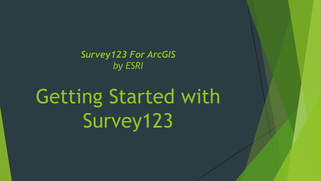*Survey123 For ArcGIS by ESRI*

# Getting Started with Survey123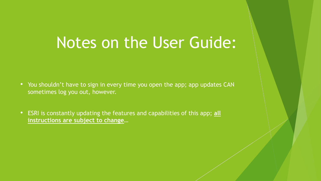#### Notes on the User Guide:

- You shouldn't have to sign in every time you open the app; app updates CAN sometimes log you out, however.
- ESRI is constantly updating the features and capabilities of this app; **all instructions are subject to change**…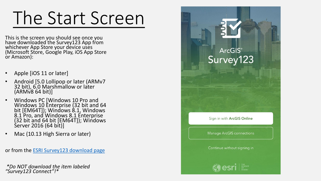# The Start Screen

This is the screen you should see once you have downloaded the Survey123 App from whichever App Store your device uses (Microsoft Store, Google Play, iOS App Store or Amazon):

- Apple [iOS 11 or later]
- Android [5.0 Lollipop or later (ARMv7 32 bit), 6.0 Marshmallow or later  $(ARM\vee 8 64 bit)]$
- Windows PC [Windows 10 Pro and Windows 10 Enterprise (32 bit and 64 bit [EM64T]); Windows 8.1, Windows 8.1 Pro, and Windows 8.1 Enterprise (32 bit and 64 bit [EM64T]); Windows Server 2016 (64 bit)]
- Mac (10.13 High Sierra or later)

or from the [ESRI Survey123 download page](https://www.esri.com/en-us/arcgis/products/survey123/resources)

*\*Do NOT download the item labeled "Survey123 Connect"!\**

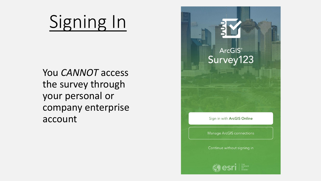# Signing In

You *CANNOT* access the survey through your personal or company enterprise account

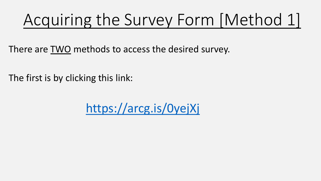### Acquiring the Survey Form [Method 1]

There are TWO methods to access the desired survey.

The first is by clicking this link:

<https://arcg.is/0yejXj>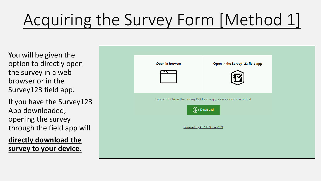## Acquiring the Survey Form [Method 1]

You will be given the option to directly open the survey in a web browser or in the Survey123 field app.

If you have the Survey123 App downloaded, opening the survey through the field app will

**directly download the survey to your device.**

| Open in browser | Open in the Survey123 field app                                                  |  |
|-----------------|----------------------------------------------------------------------------------|--|
|                 | If you don't have the Survey123 field app, please download it first.<br>Download |  |
|                 | Powered by ArcGIS Survey123                                                      |  |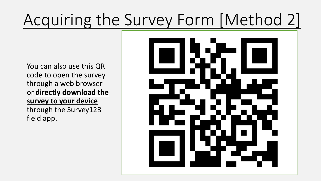### Acquiring the Survey Form [Method 2]

You can also use this QR code to open the survey through a web browser or **directly download the survey to your device**  through the Survey123 field app.

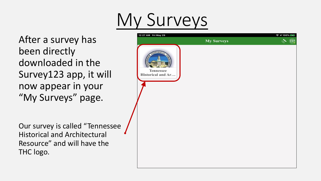# y Surveys

After a survey has been directly downloaded in the Survey123 app, it will now appear in your "My Surveys" page.

12:27 AM Fri May 29  $\approx$  100%  $\frac{1}{2}$ **My Surveys** Tennessee Historical and Ar...

Our survey is called "Tennessee Historical and Architectural Resource" and will have the THC logo.